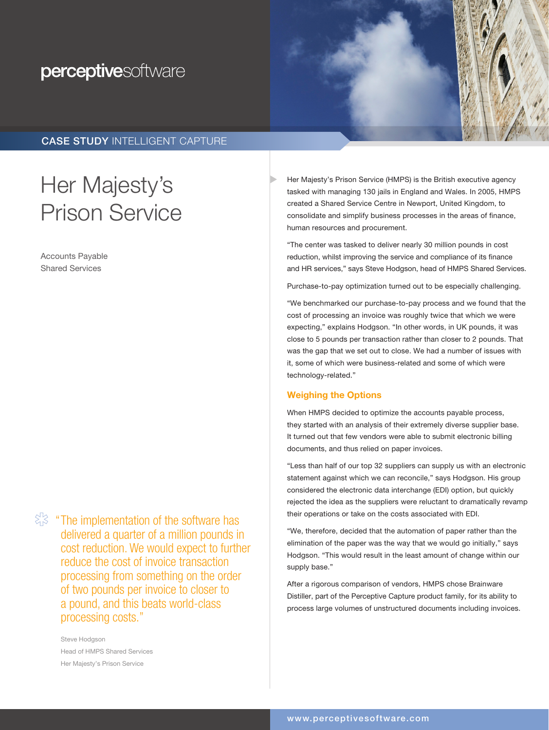## perceptivesoftware

### CASE STUDY INTELLIGENT CAPTURE

# Her Majesty's Prison Service

Accounts Payable Shared Services

 $\frac{1}{2}$  "The implementation of the software has delivered a quarter of a million pounds in cost reduction. We would expect to further reduce the cost of invoice transaction processing from something on the order of two pounds per invoice to closer to a pound, and this beats world-class processing costs."

> Steve Hodgson Head of HMPS Shared Services Her Majesty's Prison Service

Her Majesty's Prison Service (HMPS) is the British executive agency tasked with managing 130 jails in England and Wales. In 2005, HMPS created a Shared Service Centre in Newport, United Kingdom, to consolidate and simplify business processes in the areas of finance, human resources and procurement.

"The center was tasked to deliver nearly 30 million pounds in cost reduction, whilst improving the service and compliance of its finance and HR services," says Steve Hodgson, head of HMPS Shared Services.

Purchase-to-pay optimization turned out to be especially challenging.

"We benchmarked our purchase-to-pay process and we found that the cost of processing an invoice was roughly twice that which we were expecting," explains Hodgson. "In other words, in UK pounds, it was close to 5 pounds per transaction rather than closer to 2 pounds. That was the gap that we set out to close. We had a number of issues with it, some of which were business-related and some of which were technology-related."

### Weighing the Options

When HMPS decided to optimize the accounts payable process, they started with an analysis of their extremely diverse supplier base. It turned out that few vendors were able to submit electronic billing documents, and thus relied on paper invoices.

"Less than half of our top 32 suppliers can supply us with an electronic statement against which we can reconcile," says Hodgson. His group considered the electronic data interchange (EDI) option, but quickly rejected the idea as the suppliers were reluctant to dramatically revamp their operations or take on the costs associated with EDI.

"We, therefore, decided that the automation of paper rather than the elimination of the paper was the way that we would go initially," says Hodgson. "This would result in the least amount of change within our supply base."

After a rigorous comparison of vendors, HMPS chose Brainware Distiller, part of the Perceptive Capture product family, for its ability to process large volumes of unstructured documents including invoices.